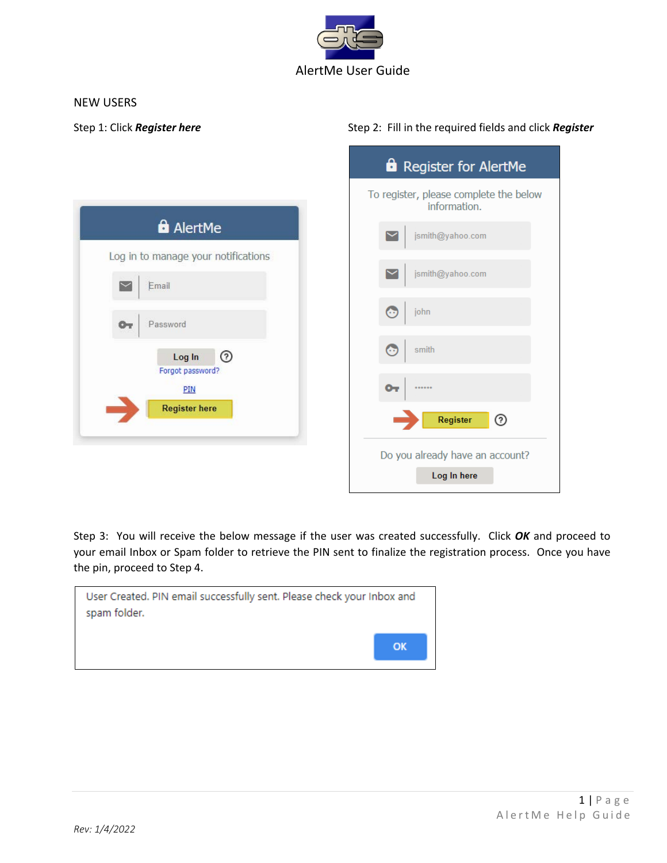

## NEW USERS

## Step 1: Click **Register here** Step 2: Fill in the required fields and click **Register**

|                                                         | <b>a</b> Register for AlertMe                          |
|---------------------------------------------------------|--------------------------------------------------------|
|                                                         | To register, please complete the below<br>information. |
| <b>a</b> AlertMe<br>Log in to manage your notifications | jsmith@yahoo.com                                       |
| Email                                                   | jsmith@yahoo.com<br>$\sim$                             |
| Password<br>$O_T$                                       | $\odot$<br>john                                        |
| $\odot$<br>Log In<br>Forgot password?                   | $\odot$<br>smith                                       |
| PIN                                                     | $\mathbf{O}_{\mathbf{T}}$<br>                          |
| <b>Register here</b>                                    | ⊚<br>Register                                          |
|                                                         | Do you already have an account?<br>Log In here         |

Step 3: You will receive the below message if the user was created successfully. Click *OK* and proceed to your email Inbox or Spam folder to retrieve the PIN sent to finalize the registration process. Once you have the pin, proceed to Step 4.

| User Created. PIN email successfully sent. Please check your Inbox and<br>spam folder. |    |
|----------------------------------------------------------------------------------------|----|
|                                                                                        | ОК |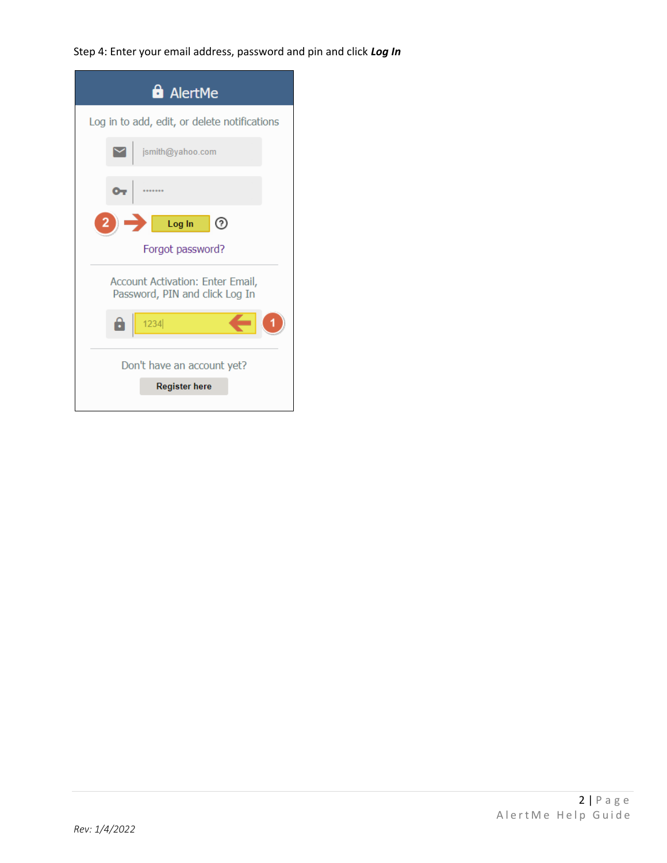Step 4: Enter your email address, password and pin and click *Log In*

| <b>a</b> AlertMe                                                   |
|--------------------------------------------------------------------|
| Log in to add, edit, or delete notifications                       |
| jsmith@yahoo.com                                                   |
| ๛                                                                  |
| $\rightarrow$ Log In<br>℗                                          |
| Forgot password?                                                   |
| Account Activation: Enter Email,<br>Password, PIN and click Log In |
| 8<br>1234                                                          |
| Don't have an account yet?                                         |
| <b>Register here</b>                                               |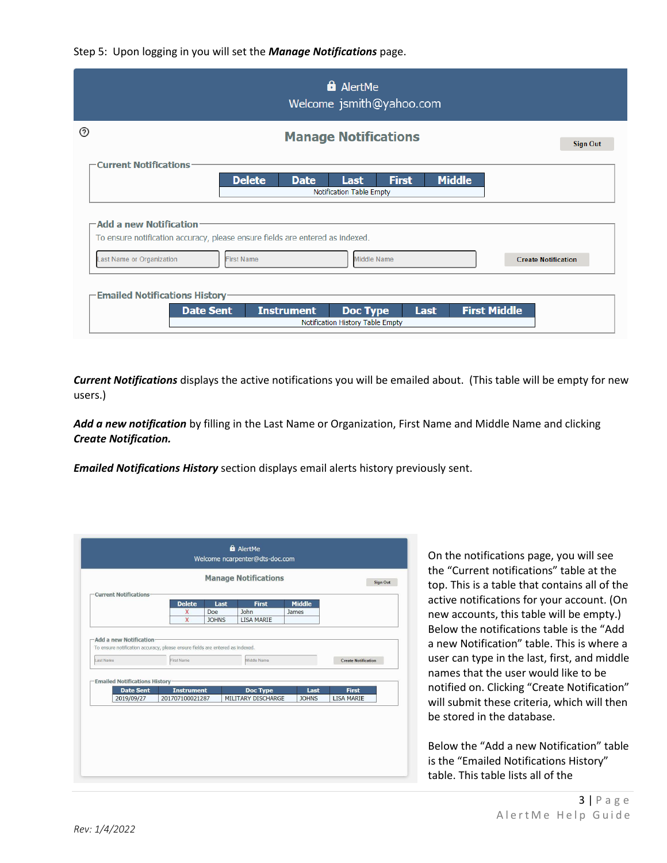

|                                                         | <b>a</b> AlertMe<br>Welcome jsmith@yahoo.com                                                                                                           |                 |
|---------------------------------------------------------|--------------------------------------------------------------------------------------------------------------------------------------------------------|-----------------|
| ⊚                                                       | <b>Manage Notifications</b>                                                                                                                            | <b>Sign Out</b> |
| <b>Current Notifications</b>                            | <b>Delete</b><br><b>Middle</b><br><b>First</b><br><b>Date</b><br>Last                                                                                  |                 |
|                                                         | Notification Table Empty                                                                                                                               |                 |
| $-$ Add a new Notification<br>Last Name or Organization | To ensure notification accuracy, please ensure fields are entered as indexed.<br><b>Middle Name</b><br><b>First Name</b><br><b>Create Notification</b> |                 |
| -Emailed Notifications History-<br><b>Date Sent</b>     | <b>First Middle</b><br><b>Instrument</b><br><b>Doc Type</b><br><b>Last</b><br>Notification History Table Empty                                         |                 |

*Current Notifications* displays the active notifications you will be emailed about. (This table will be empty for new users.)

*Add a new notification* by filling in the Last Name or Organization, First Name and Middle Name and clicking *Create Notification.*

*Emailed Notifications History* section displays email alerts history previously sent.

|                                                                                            | <b>Manage Notifications</b>          |                                | <b>Sign Out</b>      |                                   |
|--------------------------------------------------------------------------------------------|--------------------------------------|--------------------------------|----------------------|-----------------------------------|
| -Current Notifications-                                                                    | <b>Delete</b>                        | Last<br><b>First</b>           | <b>Middle</b>        |                                   |
|                                                                                            | Doe<br>X<br>X<br><b>JOHNS</b>        | John<br><b>LISA MARIE</b>      | James                |                                   |
| To ensure notification accuracy, please ensure fields are entered as indexed.<br>Last Name | First Name                           | Middle Name                    |                      | <b>Create Notification</b>        |
| <b>Emailed Notifications History</b>                                                       |                                      |                                |                      |                                   |
| <b>Date Sent</b><br>2019/09/27                                                             | <b>Instrument</b><br>201707100021287 | Doc Type<br>MILITARY DISCHARGE | Last<br><b>JOHNS</b> | <b>First</b><br><b>LISA MARIE</b> |
|                                                                                            |                                      |                                |                      |                                   |
|                                                                                            |                                      |                                |                      |                                   |

On the notifications page, you will see the "Current notifications" table at the top. This is a table that contains all of the active notifications for your account. (On new accounts, this table will be empty.) Below the notifications table is the "Add a new Notification" table. This is where a user can type in the last, first, and middle names that the user would like to be notified on. Clicking "Create Notification" will submit these criteria, which will then be stored in the database.

Below the "Add a new Notification" table is the "Emailed Notifications History" table. This table lists all of the